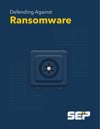# Defending Against **Ransomware**



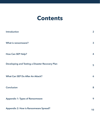### **Contents**

| Introduction                                    | $\overline{2}$ |
|-------------------------------------------------|----------------|
| What is ransomware?                             | $\mathbf{3}$   |
| <b>How Can SEP Help?</b>                        | 4              |
| Developing and Testing a Disaster Recovery Plan | 5              |
| What Can SEP Do After An Attack?                | 6              |
| <b>Conclusion</b>                               | 8              |
| <b>Appendix 1: Types of Ransomware</b>          | 9              |
| <b>Appendix 2: How is Ransomware Spread?</b>    | 10             |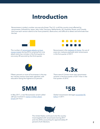### **Introduction**

Ransomware is today's number one security threat. The U.S. is still the country most affected by ransomware, followed by Japan, Italy, India, Germany, Netherlands, UK, Australia, Russia, and Canada. And now each version seems to be more powerful, destructive, and difficult to detect and eliminate than the last.



The number of [ransomware attacks on busi](https://securelist.com/76757/kaspersky-security-bulletin-2016-story-of-the-year/)[nesses tripled](https://securelist.com/76757/kaspersky-security-bulletin-2016-story-of-the-year/) during 2016, jumping from one attack every two minutes in the first quarter to one every 40 seconds by the third quarter.



Ransomware is the [malware of choice](https://www.statista.com/topics/4136/ransomware/). Six out of every ten malware payloads were ransomware in the first quarter of 2017.



Fifteen percent or more of businesses in the top ten industry sectors have been attacked, with education being the highest at 23 percent.



There were 4.3 times more new ransomware variants in the first quarter of 2017 than in the first quarter of 2016.



In May 2017, a new Ransomware variant called Jaff was involved in [nearly 5 million attack](https://www.scmagazine.com/new-jaff-ransomware-makes-bold-entrance-via-necurs-spam-campaign/article/661205/)  [emails](https://www.scmagazine.com/new-jaff-ransomware-makes-bold-entrance-via-necurs-spam-campaign/article/661205/) per hour.



Global ransomware damages exceeded \$5 [billion](https://cybersecurityventures.com/ransomware-damage-report-2017-5-billion/) in 2017.



The United States continues to be the country most targeted with ransomware during 2017 and into 2018, accounting for approximately 29 percent of all infections.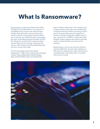### **What Is Ransomware?**

[Ransomware](https://sepbloggirl.com/2017/05/23/got-ransomware/) is malicious software that either encrypts or scrambles fles on a computer or completely locks out the user. Ransomware hackers then demand a ransom (hence the name) to deliver a decryption key that allows you to recover your data. But that is [not always](https://securelist.com/ksn-report-ransomware-in-2016-2017/78824/)  [the case](https://securelist.com/ksn-report-ransomware-in-2016-2017/78824/). Some Ransomware has been around for a long time and both the original authors and the keys may be missing. So paying the ransom will not assure that the affected parties will ever recover their data.

The first recorded ransomware attack happened in 1989, when evolutionary biologist Joseph Popp deliberately infected floppy disks with the AIDS Trojan and distributed

them to fellow researchers. The malware was programmed to wait until users booted their computers 90 times before activating. At that point, all system files were encrypted and became unusable. Popp then asked users to pay a grand sum of \$189 to unlock their files. Instead, system experts were able to develop tools to unlock the fles and remove the malware.

Ransomware is not a virus; the two infectors operate differently. Viruses infect software or files and can replicate your data. Ransomware scrambles files and renders them unusable, until ransom is paid.

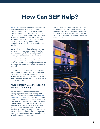## **How Can SEP Help?**

[SEP Software](http://www.sepusa.com/), the technology leader providing high-performance hybrid backup and disaster recovery solutions, is an expert in the disaster recovery preparedness and business community. SEP can advise companies on how to avoid such situations, and provide expert assistance creating a thorough backup and disaster recovery strategy to eliminate the possibility of blackmail in the event of a cyberattack.

Using SEP as your backup software, a company can confidently restore all critical data after a ransomware attack. When businesses first recognize they have been the victim of a cyber-attack, it is too late to prevent critical data loss or data held ransom by unauthorized encryption. Most often, virus protection software either failed to recognize the intrusion or recognized it after encryption was already in progress.

After an attack, a reliable and safe analysis of the infected data must take place before the system can be brought back online. In order to accomplish this, a robust and reliable backup and disaster recovery solution must be in place prior to the attack.

#### **Multi-Platform Data Protection & Business Continuity**

By implementing a business continuity strategy against ransomware utilizing both SEP backup software solutions and SEP Bare [Metal Recovery \(BMR\)](https://www.sepusa.com/products/bare-metal-recovery), users can restore entire physical and virtual servers, operating systems, databases, and applications quickly and easily. This recovery method can be achieved within minutes, regardless of the type of hardware in use. SEP BMR is fully integrated into the SEP interface to ensure a fast and complete system recovery. The data flow for the entire enterprise data recovery operation can be controlled from a single management console.

The SEP Bare Metal Recovery (BMR) solution guarantees a fast and secure recovery of all company data. SEP ensures that in the event of a disaster, all data and information can be recovered to completely recreate the original environment.

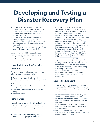### **Developing and Testing a Disaster Recovery Plan**

- •Do you have a Recovery Time Objective plan? How long would it take to restore all of your data? Could you be back up-andrunning within a few hours if you had to restore everything?
- •Do you have a Recovery Point Objective plan? When was your last backup completed? How much data would you lose if an attack occurred X hours in between backups?
- •Are you certain that you would get all of your data back exactly how you need it?

Implementing a multi-layer security strategy – including anti-malware, personal frewall, hard disk and file encryption, DLP and more – is critical to protecting against growing cybersecurity threats.

#### **Have An Information Security Program**

Consider taking the following steps to put an effective security program in place.

- **1.** Know where critical data is stored.
- **2.** Inventory systems to discern the weakest link for intrusions.
- **3.** Assess risk.
- **4.** Implement workflow automation and simple IT use policies.
- **5.** Monitor the effectiveness of your security policy.
- **6.** Educate all users.

#### **Protect Data**

Network security is a good first line of defense in guarding against ransomware attacks. By implementing effective technology best practices, organizations can further protect their data and IT infrastructure.

**1.** Employ a multi-faceted security solution that includes keeping all systems and

software updated with relevant patches, and protecting against file-based threats, employing download protection, browser protection, and firewall protection.

- **2.** Define and employ a comprehensive prevention policy that includes endpoint and network policies and protection products (antivirus, antispyware, frewall, etc.). This policy should also limit the execution of unapproved programs on workstations, and limit a program's write capabilities.
- **3.** Take volume level snapshots every 15 minutes and store them for a long time. Perform a system backup every 24 hours.
- **4.** Implementing a strategy is only half the battle. [Test your backups often](https://sepbloggirl.com/2018/05/07/5-biggest-backup-mistakes-you-can-easily-avoid/) and test your disaster recovery plan. Make sure your data is where you need it, when you need it. Using SEP BMR is easy. Use the SEP GUI to schedule periodic restores to confrm data veracity and that all systems are being backed up as planned.
- **5.** Be sure all employees are educated on actions to take and not take when they receive suspicious emails or other communications.

#### **Secure the Endpoint**

Educating everyone who touches your data on good security habits is essential to keeping your business data secure. Much of this training is simple common sense.

- **1.** Do not open attachments unless they are expected and from a trusted source.
- **2.** Do not execute software downloaded from the internet unless it has been scanned for malware.
- **3.** Be cautious when clicking links in emails or social media, even when received from trusted sources.
- **4.** Encourage employees to report any suspicious behavior, emails, communications, or attachments right away.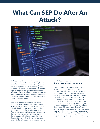### **What Can SEP Do After An Attack?**



SEP backup software provides snapshot backups which can be restored to any type of media at any location, on-site, off-site, or in the cloud, using BMR. The data repository can be selected using a disk-to-disk or disk-to-disk-totape strategy. After a system has been infected with ransomware, all infected computers on the network must be disconnected and cannot be brought back online until the ransomware has been completely removed.

A replacement server, completely cleaned (scrubbed) of any ransomware must be used to restart the recovery process. The computer is loaded with the SEP software and all data can be restored to the new backup server. Once this is accomplished, you can reconnect the 'cleaned' servers, workstations, etc. to the network and begin to restore the data through the network. Last, the desired saveset is selected and the automated recovery to the

selected servers begins. **Steps taken after the attack**

If you become the victim of a ransomware attack, SEP can get you back up and running safely and quickly. After the attack is discovered, determine when the attack began and if any infected data was included in a backup. SEP is able to restore all data from any chosen backup point-in-time to a protected system. This protected system must be clean and free of all viruses and must not be connected to the network. Using the Read-Only-Mode, SEP can restore data to 'cleaned' servers, where your antivirus program has been used to rid the virus from infected computers. As the data is restored, it is checked by the antivirus software to ensure that the infection will not be reintroduced into the new environment.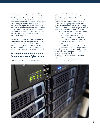In the event the encryption command from the cybercriminals has not yet been executed and the data can still be read, SEP supports forensic Linux distributions, like KALI, that have been developed specifically for analysis after a cyberattack. This provides the capability to check every backup, regardless of the source, e.g. on Linux, Windows Backup Servers, or Remote Device Servers. Any file can be opened and screened for the virus. The malware does not have any ability to re-infect the system during the forensic analysis.

Once the last uninfected backup data set is determined, SEP will restore all systems in a clean and usable state. Safety and anti-virus mechanisms must be updated and verifed to prevent another attack. All systems can be restored and processes can return to normal.

#### **Restoration and Rehabilitation Procedures after a Cyber Attack**

The infection has occurred and has been

detected by the IT Administrator.

- **1.** Determine when the virus entered the system by analyzing recent full and incremental backups. Pinpoint the last successful set of backups before the infection. Using a forensic Linux program like KALI on a protected server, find the infected files by comparing backup records, begin to analyze the virus and remove it from all servers.
	- The backed up data will be restored from removable devices, like removable disk or tape, to the cleaned system disk drives and mounted using Read-Only-Mode.
	- Compare data sets from various points-in-time.
	- Restore data sets that have been confrmed to be clean of the virus.
- **2.** Check that all systems safety and anti-virus mechanisms are updated and verifed to prevent another attack.
- **3.** Restart the systems and resume regular operations.
- **4.** Continue regular backups and test restores to maintain the integrity of your data.

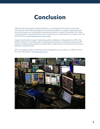### **Conclusion**

Cybersecurity has become a global epidemic as a consequence of unsecure corporate and customer data. With the explosion of ransomware attacks, it's doesn't make sense that some businesses are not taking the necessary precautions to protect themselves from these increasing attacks. Stay ahead of the curve and secure your critical data. If you haven't seen our product, this is a [great opportunity to take a look](https://www.sepusa.com/products).

Supporting the widest range of operating systems, databases, and applications, SEP is the perfect solution for IT professionals managing data protection and business continuity. SEP replaces multiple backup software products with a single solution for hybrid IT environments – physical, virtual and cloud.

SEP is incredibly simple to install and can be integrated into any system in a matter of hours. For more information, visit [www.sepusa.com.](http://www.sepusa.com)

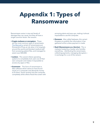### **Appendix 1: Types of Ransomware**

Ransomware varies in size and levels of damage they can cause, but they all have a single common factor: the ransom.

- **Crypto malware or encryptors** These are the most common type of ransomware. [The WannaCry](https://techspective.net/2017/09/26/wannacry-ransomware-detailed-analysis-attack/) variant of ransomware put thousands of lives at risk when it hit hospitals around the world and blocked medical staff from accessing patient files, and managed to extort over \$50,000.
- **Lockers** This variant infects operating systems to completely lock users out of their own computer and makes it impossible to access any apps or files.
- **Scareware** This form of ransomware is fake software which claims to have found issues on a computer and demands money to fix them. Some variants lock the computer completely while others flood the screen with

annoying alerts and pop-ups, making it almost impossible to use the computer.

- **Doxware** Also called leakware, this variant threatens to publish the information it has gathered online unless payment is made.
- **RaaS (Ransomware as a Service)** This is malware hosted by a hacker who handles everything — distributing the ransomware, collecting payments, managing decryptors in exchange for a cut of the ransom.